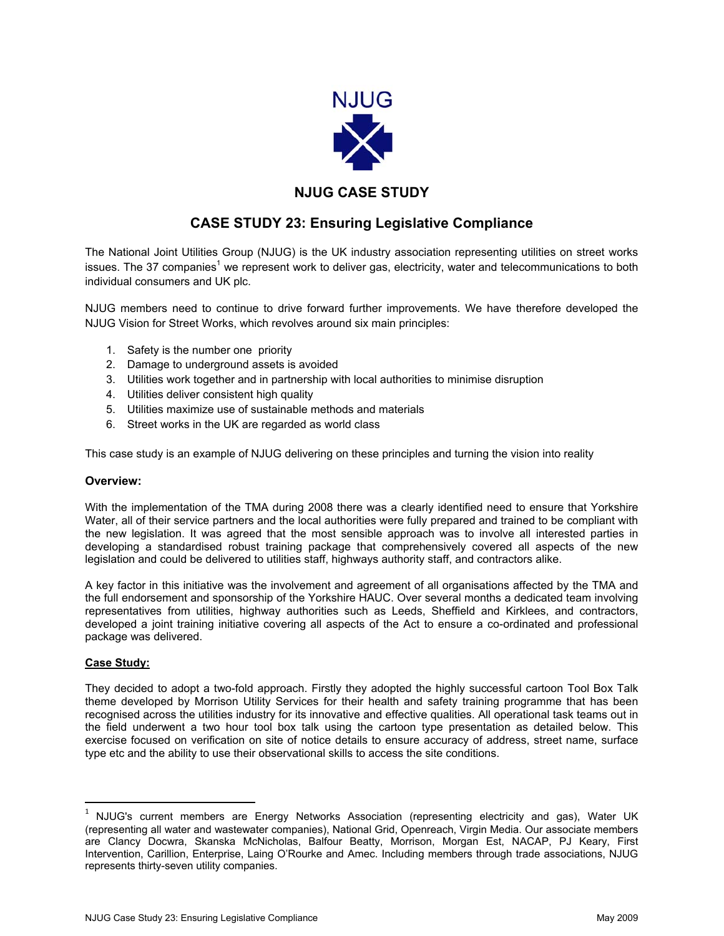

## **NJUG CASE STUDY**

# **CASE STUDY 23: Ensuring Legislative Compliance**

The National Joint Utilities Group (NJUG) is the UK industry association representing utilities on street works issues. The 37 companies<sup>1</sup> we represent work to deliver gas, electricity, water and telecommunications to both individual consumers and UK plc.

NJUG members need to continue to drive forward further improvements. We have therefore developed the NJUG Vision for Street Works, which revolves around six main principles:

- 1. Safety is the number one priority
- 2. Damage to underground assets is avoided
- 3. Utilities work together and in partnership with local authorities to minimise disruption
- 4. Utilities deliver consistent high quality
- 5. Utilities maximize use of sustainable methods and materials
- 6. Street works in the UK are regarded as world class

This case study is an example of NJUG delivering on these principles and turning the vision into reality

### **Overview:**

With the implementation of the TMA during 2008 there was a clearly identified need to ensure that Yorkshire Water, all of their service partners and the local authorities were fully prepared and trained to be compliant with the new legislation. It was agreed that the most sensible approach was to involve all interested parties in developing a standardised robust training package that comprehensively covered all aspects of the new legislation and could be delivered to utilities staff, highways authority staff, and contractors alike.

A key factor in this initiative was the involvement and agreement of all organisations affected by the TMA and the full endorsement and sponsorship of the Yorkshire HAUC. Over several months a dedicated team involving representatives from utilities, highway authorities such as Leeds, Sheffield and Kirklees, and contractors, developed a joint training initiative covering all aspects of the Act to ensure a co-ordinated and professional package was delivered.

### **Case Study:**

 $\overline{\phantom{a}}$ 

They decided to adopt a two-fold approach. Firstly they adopted the highly successful cartoon Tool Box Talk theme developed by Morrison Utility Services for their health and safety training programme that has been recognised across the utilities industry for its innovative and effective qualities. All operational task teams out in the field underwent a two hour tool box talk using the cartoon type presentation as detailed below. This exercise focused on verification on site of notice details to ensure accuracy of address, street name, surface type etc and the ability to use their observational skills to access the site conditions.

 $1$  NJUG's current members are Energy Networks Association (representing electricity and gas), Water UK (representing all water and wastewater companies), National Grid, Openreach, Virgin Media. Our associate members are Clancy Docwra, Skanska McNicholas, Balfour Beatty, Morrison, Morgan Est, NACAP, PJ Keary, First Intervention, Carillion, Enterprise, Laing O'Rourke and Amec. Including members through trade associations, NJUG represents thirty-seven utility companies.